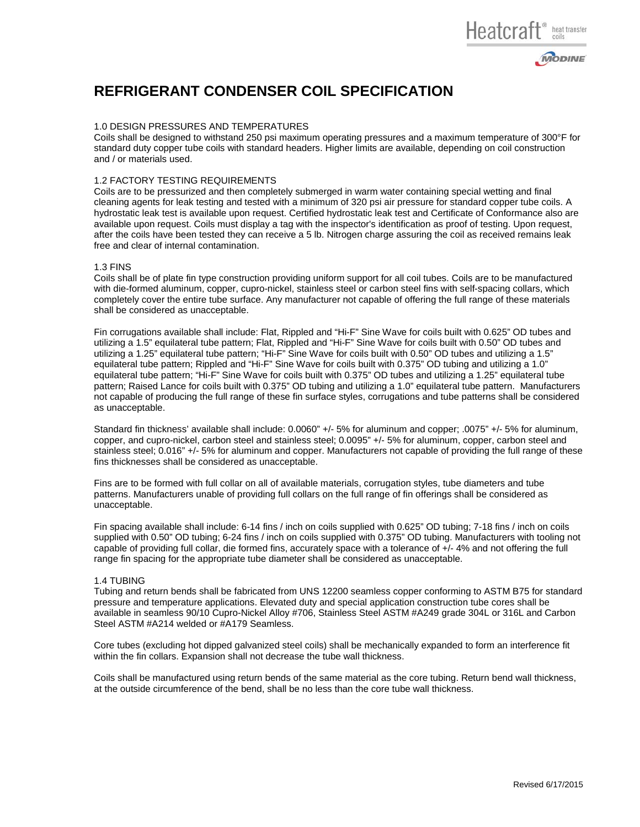# Heatcraft<sup>®</sup> heat transfer



# **REFRIGERANT CONDENSER COIL SPECIFICATION**

### 1.0 DESIGN PRESSURES AND TEMPERATURES

Coils shall be designed to withstand 250 psi maximum operating pressures and a maximum temperature of 300°F for standard duty copper tube coils with standard headers. Higher limits are available, depending on coil construction and / or materials used.

#### 1.2 FACTORY TESTING REQUIREMENTS

Coils are to be pressurized and then completely submerged in warm water containing special wetting and final cleaning agents for leak testing and tested with a minimum of 320 psi air pressure for standard copper tube coils. A hydrostatic leak test is available upon request. Certified hydrostatic leak test and Certificate of Conformance also are available upon request. Coils must display a tag with the inspector's identification as proof of testing. Upon request, after the coils have been tested they can receive a 5 lb. Nitrogen charge assuring the coil as received remains leak free and clear of internal contamination.

#### 1.3 FINS

Coils shall be of plate fin type construction providing uniform support for all coil tubes. Coils are to be manufactured with die-formed aluminum, copper, cupro-nickel, stainless steel or carbon steel fins with self-spacing collars, which completely cover the entire tube surface. Any manufacturer not capable of offering the full range of these materials shall be considered as unacceptable.

Fin corrugations available shall include: Flat, Rippled and "Hi-F" Sine Wave for coils built with 0.625" OD tubes and utilizing a 1.5" equilateral tube pattern; Flat, Rippled and "Hi-F" Sine Wave for coils built with 0.50" OD tubes and utilizing a 1.25" equilateral tube pattern; "Hi-F" Sine Wave for coils built with 0.50" OD tubes and utilizing a 1.5" equilateral tube pattern; Rippled and "Hi-F" Sine Wave for coils built with 0.375" OD tubing and utilizing a 1.0" equilateral tube pattern; "Hi-F" Sine Wave for coils built with 0.375" OD tubes and utilizing a 1.25" equilateral tube pattern; Raised Lance for coils built with 0.375" OD tubing and utilizing a 1.0" equilateral tube pattern. Manufacturers not capable of producing the full range of these fin surface styles, corrugations and tube patterns shall be considered as unacceptable.

Standard fin thickness' available shall include: 0.0060" +/- 5% for aluminum and copper; .0075" +/- 5% for aluminum, copper, and cupro-nickel, carbon steel and stainless steel; 0.0095" +/- 5% for aluminum, copper, carbon steel and stainless steel; 0.016" +/- 5% for aluminum and copper. Manufacturers not capable of providing the full range of these fins thicknesses shall be considered as unacceptable.

Fins are to be formed with full collar on all of available materials, corrugation styles, tube diameters and tube patterns. Manufacturers unable of providing full collars on the full range of fin offerings shall be considered as unacceptable.

Fin spacing available shall include: 6-14 fins / inch on coils supplied with 0.625" OD tubing; 7-18 fins / inch on coils supplied with 0.50" OD tubing; 6-24 fins / inch on coils supplied with 0.375" OD tubing. Manufacturers with tooling not capable of providing full collar, die formed fins, accurately space with a tolerance of  $+/$ -4% and not offering the full range fin spacing for the appropriate tube diameter shall be considered as unacceptable.

## 1.4 TUBING

Tubing and return bends shall be fabricated from UNS 12200 seamless copper conforming to ASTM B75 for standard pressure and temperature applications. Elevated duty and special application construction tube cores shall be available in seamless 90/10 Cupro-Nickel Alloy #706, Stainless Steel ASTM #A249 grade 304L or 316L and Carbon Steel ASTM #A214 welded or #A179 Seamless.

Core tubes (excluding hot dipped galvanized steel coils) shall be mechanically expanded to form an interference fit within the fin collars. Expansion shall not decrease the tube wall thickness.

Coils shall be manufactured using return bends of the same material as the core tubing. Return bend wall thickness, at the outside circumference of the bend, shall be no less than the core tube wall thickness.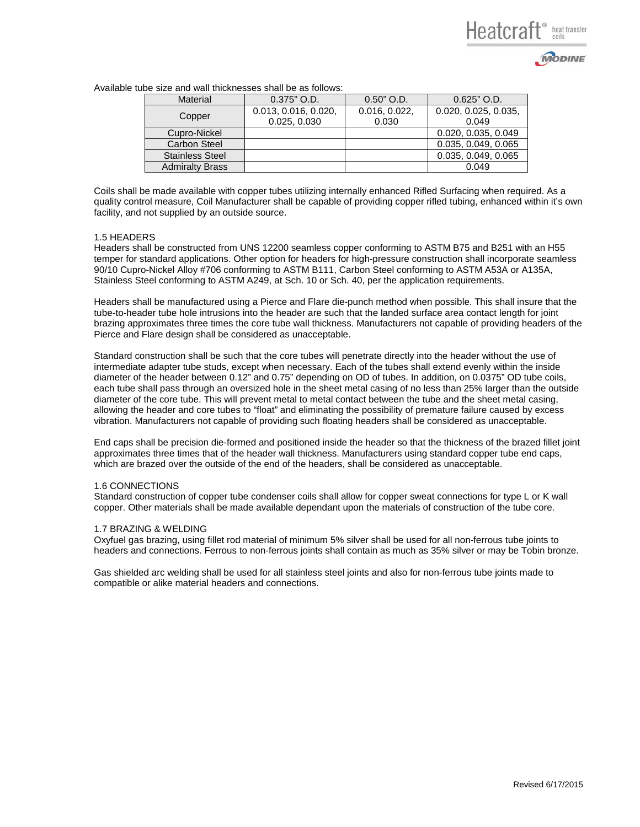



| <b>Material</b>        | $0.375"$ O.D.        | $0.50"$ O.D.  | $0.625"$ O.D.        |  |
|------------------------|----------------------|---------------|----------------------|--|
| Copper                 | 0.013, 0.016, 0.020, | 0.016, 0.022, | 0.020, 0.025, 0.035, |  |
|                        | 0.025, 0.030         | 0.030         | 0.049                |  |
| Cupro-Nickel           |                      |               | 0.020, 0.035, 0.049  |  |
| Carbon Steel           |                      |               | 0.035, 0.049, 0.065  |  |
| <b>Stainless Steel</b> |                      |               | 0.035, 0.049, 0.065  |  |
| <b>Admiralty Brass</b> |                      |               | 0.049                |  |

Available tube size and wall thicknesses shall be as follows:

Coils shall be made available with copper tubes utilizing internally enhanced Rifled Surfacing when required. As a quality control measure, Coil Manufacturer shall be capable of providing copper rifled tubing, enhanced within it's own facility, and not supplied by an outside source.

#### 1.5 HEADERS

Headers shall be constructed from UNS 12200 seamless copper conforming to ASTM B75 and B251 with an H55 temper for standard applications. Other option for headers for high-pressure construction shall incorporate seamless 90/10 Cupro-Nickel Alloy #706 conforming to ASTM B111, Carbon Steel conforming to ASTM A53A or A135A, Stainless Steel conforming to ASTM A249, at Sch. 10 or Sch. 40, per the application requirements.

Headers shall be manufactured using a Pierce and Flare die-punch method when possible. This shall insure that the tube-to-header tube hole intrusions into the header are such that the landed surface area contact length for joint brazing approximates three times the core tube wall thickness. Manufacturers not capable of providing headers of the Pierce and Flare design shall be considered as unacceptable.

Standard construction shall be such that the core tubes will penetrate directly into the header without the use of intermediate adapter tube studs, except when necessary. Each of the tubes shall extend evenly within the inside diameter of the header between 0.12" and 0.75" depending on OD of tubes. In addition, on 0.0375" OD tube coils, each tube shall pass through an oversized hole in the sheet metal casing of no less than 25% larger than the outside diameter of the core tube. This will prevent metal to metal contact between the tube and the sheet metal casing, allowing the header and core tubes to "float" and eliminating the possibility of premature failure caused by excess vibration. Manufacturers not capable of providing such floating headers shall be considered as unacceptable.

End caps shall be precision die-formed and positioned inside the header so that the thickness of the brazed fillet joint approximates three times that of the header wall thickness. Manufacturers using standard copper tube end caps, which are brazed over the outside of the end of the headers, shall be considered as unacceptable.

#### 1.6 CONNECTIONS

Standard construction of copper tube condenser coils shall allow for copper sweat connections for type L or K wall copper. Other materials shall be made available dependant upon the materials of construction of the tube core.

#### 1.7 BRAZING & WELDING

Oxyfuel gas brazing, using fillet rod material of minimum 5% silver shall be used for all non-ferrous tube joints to headers and connections. Ferrous to non-ferrous joints shall contain as much as 35% silver or may be Tobin bronze.

Gas shielded arc welding shall be used for all stainless steel joints and also for non-ferrous tube joints made to compatible or alike material headers and connections.